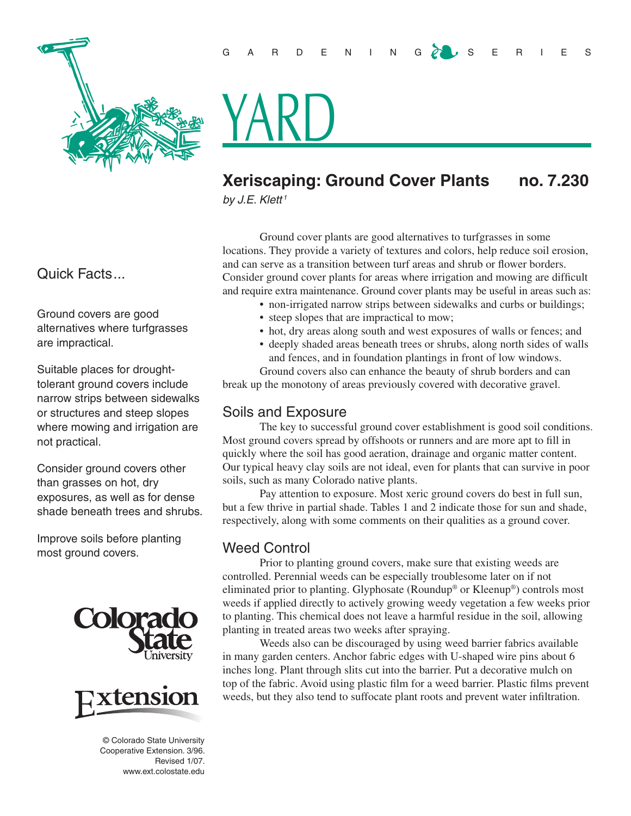

<u>YARD</u>

# **Xeriscaping: Ground Cover Plants no. 7.230**

*by J.E. Klett <sup>1</sup>*

Ground cover plants are good alternatives to turfgrasses in some locations. They provide a variety of textures and colors, help reduce soil erosion, and can serve as a transition between turf areas and shrub or flower borders. Consider ground cover plants for areas where irrigation and mowing are difficult and require extra maintenance. Ground cover plants may be useful in areas such as:

- non-irrigated narrow strips between sidewalks and curbs or buildings;
- steep slopes that are impractical to mow;
- hot, dry areas along south and west exposures of walls or fences; and
- deeply shaded areas beneath trees or shrubs, along north sides of walls and fences, and in foundation plantings in front of low windows.

Ground covers also can enhance the beauty of shrub borders and can break up the monotony of areas previously covered with decorative gravel.

## Soils and Exposure

The key to successful ground cover establishment is good soil conditions. Most ground covers spread by offshoots or runners and are more apt to fill in quickly where the soil has good aeration, drainage and organic matter content. Our typical heavy clay soils are not ideal, even for plants that can survive in poor soils, such as many Colorado native plants.

Pay attention to exposure. Most xeric ground covers do best in full sun, but a few thrive in partial shade. Tables 1 and 2 indicate those for sun and shade, respectively, along with some comments on their qualities as a ground cover.

## Weed Control

Prior to planting ground covers, make sure that existing weeds are controlled. Perennial weeds can be especially troublesome later on if not eliminated prior to planting. Glyphosate (Roundup® or Kleenup®) controls most weeds if applied directly to actively growing weedy vegetation a few weeks prior to planting. This chemical does not leave a harmful residue in the soil, allowing planting in treated areas two weeks after spraying.

Weeds also can be discouraged by using weed barrier fabrics available in many garden centers. Anchor fabric edges with U-shaped wire pins about 6 inches long. Plant through slits cut into the barrier. Put a decorative mulch on top of the fabric. Avoid using plastic film for a weed barrier. Plastic films prevent weeds, but they also tend to suffocate plant roots and prevent water infiltration.

## Quick Facts...

Ground covers are good alternatives where turfgrasses are impractical.

Suitable places for droughttolerant ground covers include narrow strips between sidewalks or structures and steep slopes where mowing and irrigation are not practical.

Consider ground covers other than grasses on hot, dry exposures, as well as for dense shade beneath trees and shrubs.

Improve soils before planting most ground covers.





 © Colorado State University Cooperative Extension. 3/96. Revised 1/07. www.ext.colostate.edu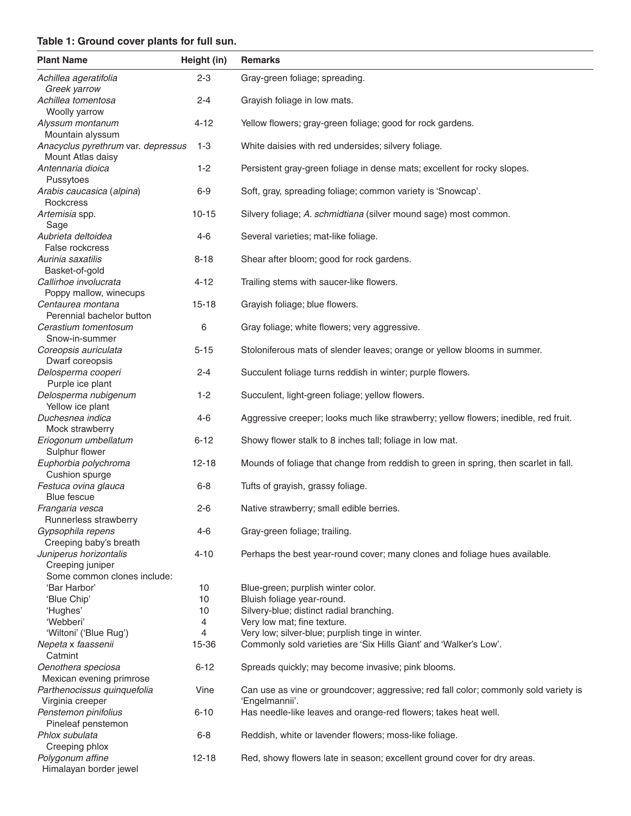#### **Table 1: Ground cover plants for full sun.**

| <b>Plant Name</b>                                       | Height (in) | <b>Remarks</b>                                                                                         |
|---------------------------------------------------------|-------------|--------------------------------------------------------------------------------------------------------|
| Achillea ageratifolia<br>Greek yarrow                   | $2 - 3$     | Gray-green foliage; spreading.                                                                         |
| Achillea tomentosa<br>Woolly yarrow                     | $2 - 4$     | Grayish foliage in low mats.                                                                           |
| Alyssum montanum<br>Mountain alyssum                    | $4 - 12$    | Yellow flowers; gray-green foliage; good for rock gardens.                                             |
| Anacyclus pyrethrum var. depressus<br>Mount Atlas daisy | $1 - 3$     | White daisies with red undersides; silvery foliage.                                                    |
| Antennaria dioica<br>Pussytoes                          | $1 - 2$     | Persistent gray-green foliage in dense mats; excellent for rocky slopes.                               |
| Arabis caucasica (alpina)<br>Rockcress                  | $6 - 9$     | Soft, gray, spreading foliage; common variety is 'Snowcap'.                                            |
| Artemisia spp.<br>Sage                                  | $10 - 15$   | Silvery foliage; A. schmidtiana (silver mound sage) most common.                                       |
| Aubrieta deltoidea<br>False rockcress                   | $4-6$       | Several varieties; mat-like foliage.                                                                   |
| Aurinia saxatilis<br>Basket-of-gold                     | $8 - 18$    | Shear after bloom; good for rock gardens.                                                              |
| Callirhoe involucrata<br>Poppy mallow, winecups         | $4 - 12$    | Trailing stems with saucer-like flowers.                                                               |
| Centaurea montana<br>Perennial bachelor button          | $15 - 18$   | Grayish foliage; blue flowers.                                                                         |
| Cerastium tomentosum<br>Snow-in-summer                  | 6           | Gray foliage; white flowers; very aggressive.                                                          |
| Coreopsis auriculata<br>Dwarf coreopsis                 | $5 - 15$    | Stoloniferous mats of slender leaves; orange or yellow blooms in summer.                               |
| Delosperma cooperi<br>Purple ice plant                  | $2 - 4$     | Succulent foliage turns reddish in winter; purple flowers.                                             |
| Delosperma nubigenum<br>Yellow ice plant                | $1 - 2$     | Succulent, light-green foliage; yellow flowers.                                                        |
| Duchesnea indica<br>Mock strawberry                     | $4-6$       | Aggressive creeper; looks much like strawberry; yellow flowers; inedible, red fruit.                   |
| Eriogonum umbellatum<br>Sulphur flower                  | $6 - 12$    | Showy flower stalk to 8 inches tall; foliage in low mat.                                               |
| Euphorbia polychroma<br>Cushion spurge                  | $12 - 18$   | Mounds of foliage that change from reddish to green in spring, then scarlet in fall.                   |
| Festuca ovina glauca<br><b>Blue fescue</b>              | $6 - 8$     | Tufts of grayish, grassy foliage.                                                                      |
| Frangaria vesca<br>Runnerless strawberry                | $2 - 6$     | Native strawberry; small edible berries.                                                               |
| Gypsophila repens<br>Creeping baby's breath             | 4-6         | Gray-green foliage; trailing.                                                                          |
| Juniperus horizontalis<br>Creeping juniper              | $4 - 10$    | Perhaps the best year-round cover; many clones and foliage hues available.                             |
| Some common clones include:                             |             |                                                                                                        |
| 'Bar Harbor'                                            | 10          | Blue-green; purplish winter color.                                                                     |
| 'Blue Chip'                                             | 10          | Bluish foliage year-round.                                                                             |
| 'Hughes'                                                | 10          | Silvery-blue; distinct radial branching.                                                               |
| 'Webberi'                                               | 4           | Very low mat; fine texture.                                                                            |
| 'Wiltoni' ('Blue Rug')                                  | 4           | Very low; silver-blue; purplish tinge in winter.                                                       |
| Nepeta x faassenii<br>Catmint                           | 15-36       | Commonly sold varieties are 'Six Hills Giant' and 'Walker's Low'.                                      |
| Oenothera speciosa<br>Mexican evening primrose          | $6 - 12$    | Spreads quickly; may become invasive; pink blooms.                                                     |
| Parthenocissus quinquefolia<br>Virginia creeper         | Vine        | Can use as vine or groundcover; aggressive; red fall color; commonly sold variety is<br>'Engelmannii'. |
| Penstemon pinifolius<br>Pineleaf penstemon              | $6 - 10$    | Has needle-like leaves and orange-red flowers; takes heat well.                                        |
| Phlox subulata<br>Creeping phlox                        | $6 - 8$     | Reddish, white or lavender flowers; moss-like foliage.                                                 |
| Polygonum affine<br>Himalayan border jewel              | $12 - 18$   | Red, showy flowers late in season; excellent ground cover for dry areas.                               |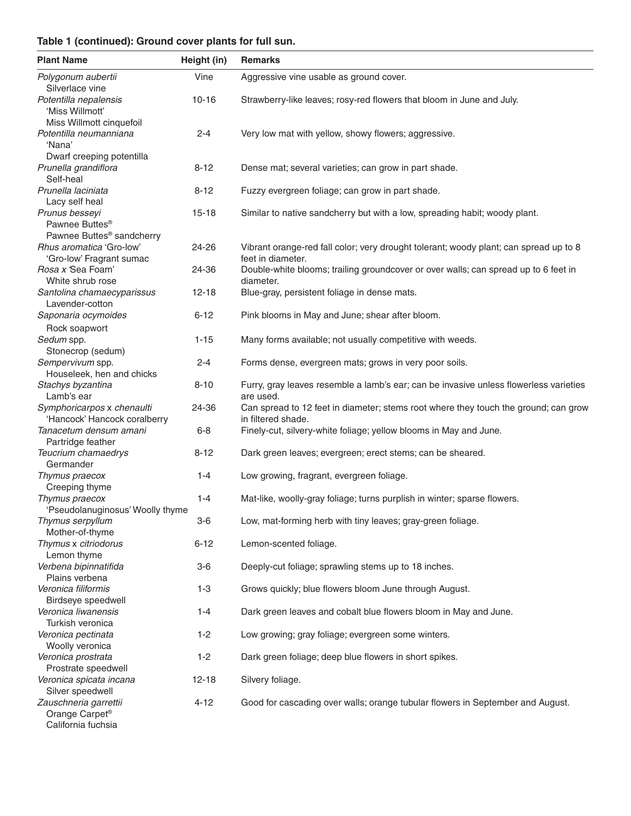### **Table 1 (continued): Ground cover plants for full sun.**

| <b>Plant Name</b>                                                                             | Height (in)       | <b>Remarks</b>                                                                                             |
|-----------------------------------------------------------------------------------------------|-------------------|------------------------------------------------------------------------------------------------------------|
| Polygonum aubertii<br>Silverlace vine                                                         | Vine              | Aggressive vine usable as ground cover.                                                                    |
| Potentilla nepalensis<br>'Miss Willmott'                                                      | $10 - 16$         | Strawberry-like leaves; rosy-red flowers that bloom in June and July.                                      |
| Miss Willmott cinquefoil<br>Potentilla neumanniana<br>'Nana'                                  | $2 - 4$           | Very low mat with yellow, showy flowers; aggressive.                                                       |
| Dwarf creeping potentilla<br>Prunella grandiflora                                             | $8 - 12$          | Dense mat; several varieties; can grow in part shade.                                                      |
| Self-heal<br>Prunella laciniata<br>Lacy self heal                                             | $8 - 12$          | Fuzzy evergreen foliage; can grow in part shade.                                                           |
| Prunus besseyi<br>Pawnee Buttes <sup>®</sup><br>Pawnee Buttes <sup>®</sup> sandcherry         | $15 - 18$         | Similar to native sandcherry but with a low, spreading habit; woody plant.                                 |
| Rhus aromatica 'Gro-low'<br>'Gro-low' Fragrant sumac                                          | 24-26             | Vibrant orange-red fall color; very drought tolerant; woody plant; can spread up to 8<br>feet in diameter. |
| Rosa x 'Sea Foam'<br>White shrub rose                                                         | 24-36             | Double-white blooms; trailing groundcover or over walls; can spread up to 6 feet in<br>diameter.           |
| Santolina chamaecyparissus<br>Lavender-cotton                                                 | $12 - 18$         | Blue-gray, persistent foliage in dense mats.                                                               |
| Saponaria ocymoides<br>Rock soapwort                                                          | $6 - 12$          | Pink blooms in May and June; shear after bloom.                                                            |
| Sedum spp.<br>Stonecrop (sedum)                                                               | $1 - 15$          | Many forms available; not usually competitive with weeds.                                                  |
| Sempervivum spp.<br>Houseleek, hen and chicks                                                 | $2 - 4$           | Forms dense, evergreen mats; grows in very poor soils.                                                     |
| Stachys byzantina<br>Lamb's ear                                                               | $8 - 10$          | Furry, gray leaves resemble a lamb's ear; can be invasive unless flowerless varieties<br>are used.         |
| Symphoricarpos x chenaulti<br>'Hancock' Hancock coralberry                                    | 24-36             | Can spread to 12 feet in diameter; stems root where they touch the ground; can grow<br>in filtered shade.  |
| Tanacetum densum amani<br>Partridge feather                                                   | $6 - 8$           | Finely-cut, silvery-white foliage; yellow blooms in May and June.                                          |
| Teucrium chamaedrys<br>Germander                                                              | $8 - 12$          | Dark green leaves; evergreen; erect stems; can be sheared.                                                 |
| Thymus praecox<br>Creeping thyme                                                              | $1 - 4$           | Low growing, fragrant, evergreen foliage.                                                                  |
| Thymus praecox<br>'Pseudolanuginosus' Woolly thyme                                            | $1 - 4$           | Mat-like, woolly-gray foliage; turns purplish in winter; sparse flowers.                                   |
| Thymus serpyllum<br>Mother-of-thyme<br>Thymus x citriodorus                                   | $3-6$<br>$6 - 12$ | Low, mat-forming herb with tiny leaves; gray-green foliage.<br>Lemon-scented foliage.                      |
| Lemon thyme<br>Verbena bipinnatifida                                                          | $3-6$             | Deeply-cut foliage; sprawling stems up to 18 inches.                                                       |
| Plains verbena<br>Veronica filiformis                                                         | $1 - 3$           | Grows quickly; blue flowers bloom June through August.                                                     |
| Birdseye speedwell<br>Veronica liwanensis                                                     | $1 - 4$           | Dark green leaves and cobalt blue flowers bloom in May and June.                                           |
| Turkish veronica<br>Veronica pectinata                                                        | $1 - 2$           | Low growing; gray foliage; evergreen some winters.                                                         |
| Woolly veronica<br>Veronica prostrata                                                         | $1 - 2$           | Dark green foliage; deep blue flowers in short spikes.                                                     |
| Prostrate speedwell<br>Veronica spicata incana                                                | $12 - 18$         | Silvery foliage.                                                                                           |
| Silver speedwell<br>Zauschneria garrettii<br>Orange Carpet <sup>®</sup><br>California fuchsia | $4 - 12$          | Good for cascading over walls; orange tubular flowers in September and August.                             |